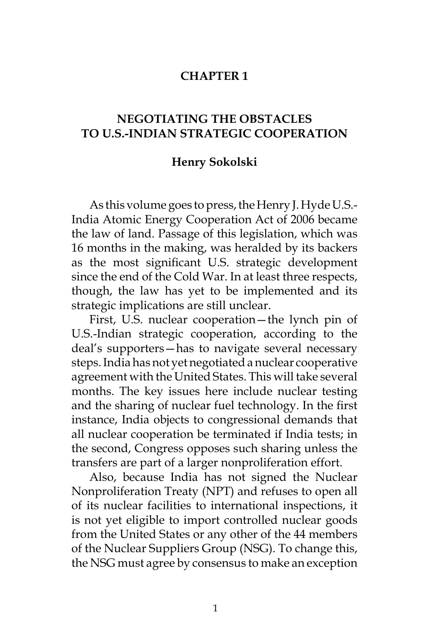## **CHAPTER 1**

## **NEGOTIATING THE OBSTACLES TO U.S.-INDIAN STRATEGIC COOPERATION**

## **Henry Sokolski**

As this volume goes to press, the Henry J. Hyde U.S.- India Atomic Energy Cooperation Act of 2006 became the law of land. Passage of this legislation, which was 16 months in the making, was heralded by its backers as the most significant U.S. strategic development since the end of the Cold War. In at least three respects, though, the law has yet to be implemented and its strategic implications are still unclear.

First, U.S. nuclear cooperation—the lynch pin of U.S.-Indian strategic cooperation, according to the deal's supporters—has to navigate several necessary steps. India has not yet negotiated a nuclear cooperative agreement with the United States. This will take several months. The key issues here include nuclear testing and the sharing of nuclear fuel technology. In the first instance, India objects to congressional demands that all nuclear cooperation be terminated if India tests; in the second, Congress opposes such sharing unless the transfers are part of a larger nonproliferation effort.

Also, because India has not signed the Nuclear Nonproliferation Treaty (NPT) and refuses to open all of its nuclear facilities to international inspections, it is not yet eligible to import controlled nuclear goods from the United States or any other of the 44 members of the Nuclear Suppliers Group (NSG). To change this, the NSG must agree by consensus to make an exception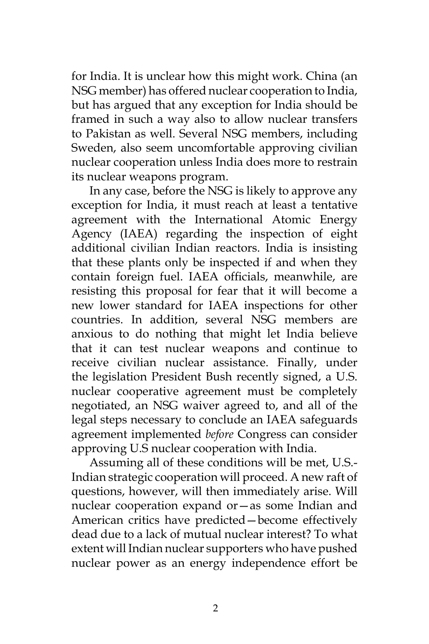for India. It is unclear how this might work. China (an NSG member) has offered nuclear cooperation to India, but has argued that any exception for India should be framed in such a way also to allow nuclear transfers to Pakistan as well. Several NSG members, including Sweden, also seem uncomfortable approving civilian nuclear cooperation unless India does more to restrain its nuclear weapons program.

In any case, before the NSG is likely to approve any exception for India, it must reach at least a tentative agreement with the International Atomic Energy Agency (IAEA) regarding the inspection of eight additional civilian Indian reactors. India is insisting that these plants only be inspected if and when they contain foreign fuel. IAEA officials, meanwhile, are resisting this proposal for fear that it will become a new lower standard for IAEA inspections for other countries. In addition, several NSG members are anxious to do nothing that might let India believe that it can test nuclear weapons and continue to receive civilian nuclear assistance. Finally, under the legislation President Bush recently signed, a U.S. nuclear cooperative agreement must be completely negotiated, an NSG waiver agreed to, and all of the legal steps necessary to conclude an IAEA safeguards agreement implemented *before* Congress can consider approving U.S nuclear cooperation with India.

Assuming all of these conditions will be met, U.S.- Indian strategic cooperation will proceed. A new raft of questions, however, will then immediately arise. Will nuclear cooperation expand or—as some Indian and American critics have predicted—become effectively dead due to a lack of mutual nuclear interest? To what extent will Indian nuclear supporters who have pushed nuclear power as an energy independence effort be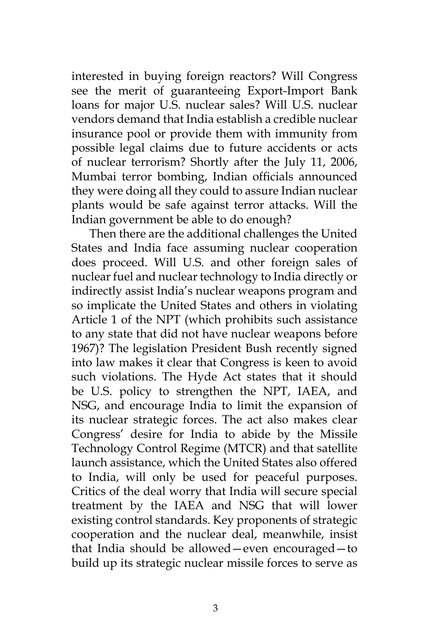interested in buying foreign reactors? Will Congress see the merit of guaranteeing Export-Import Bank loans for major U.S. nuclear sales? Will U.S. nuclear vendors demand that India establish a credible nuclear insurance pool or provide them with immunity from possible legal claims due to future accidents or acts of nuclear terrorism? Shortly after the July 11, 2006, Mumbai terror bombing, Indian officials announced they were doing all they could to assure Indian nuclear plants would be safe against terror attacks. Will the Indian government be able to do enough?

Then there are the additional challenges the United States and India face assuming nuclear cooperation does proceed. Will U.S. and other foreign sales of nuclear fuel and nuclear technology to India directly or indirectly assist India's nuclear weapons program and so implicate the United States and others in violating Article 1 of the NPT (which prohibits such assistance to any state that did not have nuclear weapons before 1967)? The legislation President Bush recently signed into law makes it clear that Congress is keen to avoid such violations. The Hyde Act states that it should be U.S. policy to strengthen the NPT, IAEA, and NSG, and encourage India to limit the expansion of its nuclear strategic forces. The act also makes clear Congress' desire for India to abide by the Missile Technology Control Regime (MTCR) and that satellite launch assistance, which the United States also offered to India, will only be used for peaceful purposes. Critics of the deal worry that India will secure special treatment by the IAEA and NSG that will lower existing control standards. Key proponents of strategic cooperation and the nuclear deal, meanwhile, insist that India should be allowed—even encouraged—to build up its strategic nuclear missile forces to serve as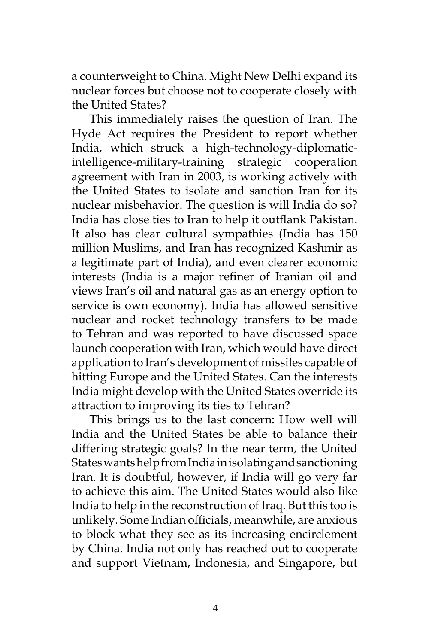a counterweight to China. Might New Delhi expand its nuclear forces but choose not to cooperate closely with the United States?

This immediately raises the question of Iran. The Hyde Act requires the President to report whether India, which struck a high-technology-diplomaticintelligence-military-training strategic cooperation agreement with Iran in 2003, is working actively with the United States to isolate and sanction Iran for its nuclear misbehavior. The question is will India do so? India has close ties to Iran to help it outflank Pakistan. It also has clear cultural sympathies (India has 150 million Muslims, and Iran has recognized Kashmir as a legitimate part of India), and even clearer economic interests (India is a major refiner of Iranian oil and views Iran's oil and natural gas as an energy option to service is own economy). India has allowed sensitive nuclear and rocket technology transfers to be made to Tehran and was reported to have discussed space launch cooperation with Iran, which would have direct application to Iran's development of missiles capable of hitting Europe and the United States. Can the interests India might develop with the United States override its attraction to improving its ties to Tehran?

This brings us to the last concern: How well will India and the United States be able to balance their differing strategic goals? In the near term, the United States wants help from India in isolating and sanctioning Iran. It is doubtful, however, if India will go very far to achieve this aim. The United States would also like India to help in the reconstruction of Iraq. But this too is unlikely. Some Indian officials, meanwhile, are anxious to block what they see as its increasing encirclement by China. India not only has reached out to cooperate and support Vietnam, Indonesia, and Singapore, but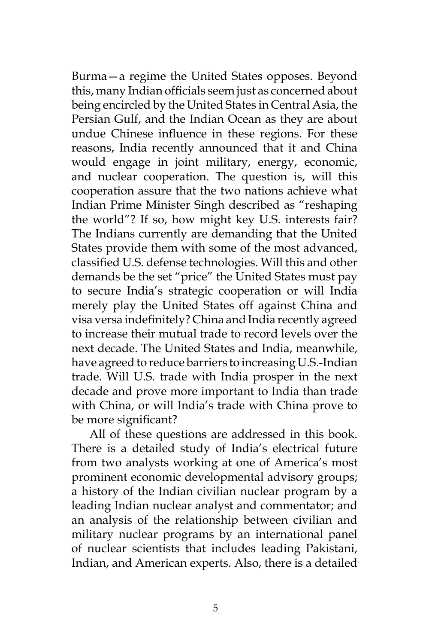Burma—a regime the United States opposes. Beyond this, many Indian officials seem just as concerned about being encircled by the United States in Central Asia, the Persian Gulf, and the Indian Ocean as they are about undue Chinese influence in these regions. For these reasons, India recently announced that it and China would engage in joint military, energy, economic, and nuclear cooperation. The question is, will this cooperation assure that the two nations achieve what Indian Prime Minister Singh described as "reshaping the world"? If so, how might key U.S. interests fair? The Indians currently are demanding that the United States provide them with some of the most advanced, classified U.S. defense technologies. Will this and other demands be the set "price" the United States must pay to secure India's strategic cooperation or will India merely play the United States off against China and visa versa indefinitely? China and India recently agreed to increase their mutual trade to record levels over the next decade. The United States and India, meanwhile, have agreed to reduce barriers to increasing U.S.-Indian trade. Will U.S. trade with India prosper in the next decade and prove more important to India than trade with China, or will India's trade with China prove to be more significant?

All of these questions are addressed in this book. There is a detailed study of India's electrical future from two analysts working at one of America's most prominent economic developmental advisory groups; a history of the Indian civilian nuclear program by a leading Indian nuclear analyst and commentator; and an analysis of the relationship between civilian and military nuclear programs by an international panel of nuclear scientists that includes leading Pakistani, Indian, and American experts. Also, there is a detailed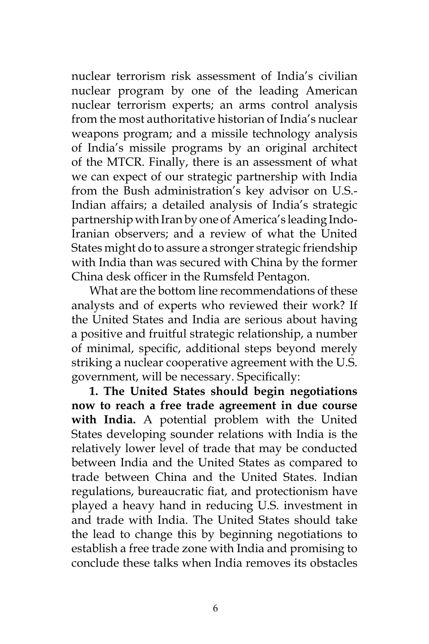nuclear terrorism risk assessment of India's civilian nuclear program by one of the leading American nuclear terrorism experts; an arms control analysis from the most authoritative historian of India's nuclear weapons program; and a missile technology analysis of India's missile programs by an original architect of the MTCR. Finally, there is an assessment of what we can expect of our strategic partnership with India from the Bush administration's key advisor on U.S.- Indian affairs; a detailed analysis of India's strategic partnership with Iran by one of America's leading Indo-Iranian observers; and a review of what the United States might do to assure a stronger strategic friendship with India than was secured with China by the former China desk officer in the Rumsfeld Pentagon.

What are the bottom line recommendations of these analysts and of experts who reviewed their work? If the United States and India are serious about having a positive and fruitful strategic relationship, a number of minimal, specific, additional steps beyond merely striking a nuclear cooperative agreement with the U.S. government, will be necessary. Specifically:

**1. The United States should begin negotiations now to reach a free trade agreement in due course with India.** A potential problem with the United States developing sounder relations with India is the relatively lower level of trade that may be conducted between India and the United States as compared to trade between China and the United States. Indian regulations, bureaucratic fiat, and protectionism have played a heavy hand in reducing U.S. investment in and trade with India. The United States should take the lead to change this by beginning negotiations to establish a free trade zone with India and promising to conclude these talks when India removes its obstacles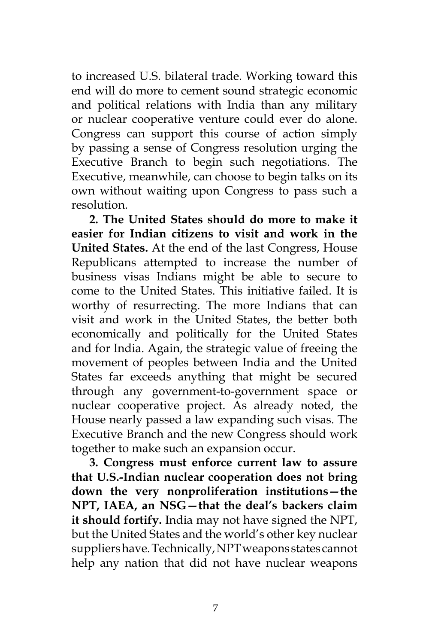to increased U.S. bilateral trade. Working toward this end will do more to cement sound strategic economic and political relations with India than any military or nuclear cooperative venture could ever do alone. Congress can support this course of action simply by passing a sense of Congress resolution urging the Executive Branch to begin such negotiations. The Executive, meanwhile, can choose to begin talks on its own without waiting upon Congress to pass such a resolution.

**2. The United States should do more to make it easier for Indian citizens to visit and work in the United States.** At the end of the last Congress, House Republicans attempted to increase the number of business visas Indians might be able to secure to come to the United States. This initiative failed. It is worthy of resurrecting. The more Indians that can visit and work in the United States, the better both economically and politically for the United States and for India. Again, the strategic value of freeing the movement of peoples between India and the United States far exceeds anything that might be secured through any government-to-government space or nuclear cooperative project. As already noted, the House nearly passed a law expanding such visas. The Executive Branch and the new Congress should work together to make such an expansion occur.

**3. Congress must enforce current law to assure that U.S.-Indian nuclear cooperation does not bring down the very nonproliferation institutions—the NPT, IAEA, an NSG—that the deal's backers claim it should fortify.** India may not have signed the NPT, but the United States and the world's other key nuclear suppliers have. Technically, NPT weapons states cannot help any nation that did not have nuclear weapons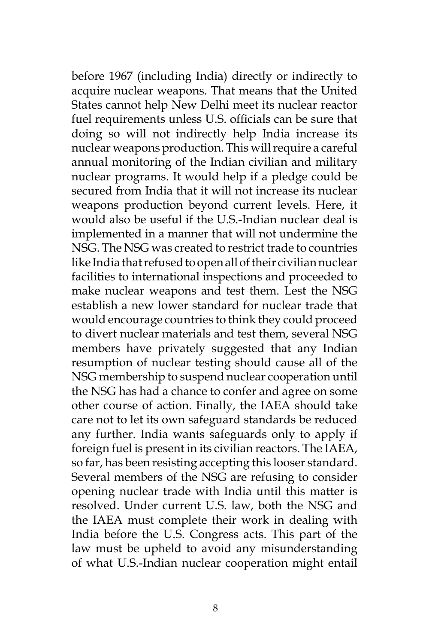before 1967 (including India) directly or indirectly to acquire nuclear weapons. That means that the United States cannot help New Delhi meet its nuclear reactor fuel requirements unless U.S. officials can be sure that doing so will not indirectly help India increase its nuclear weapons production. This will require a careful annual monitoring of the Indian civilian and military nuclear programs. It would help if a pledge could be secured from India that it will not increase its nuclear weapons production beyond current levels. Here, it would also be useful if the U.S.-Indian nuclear deal is implemented in a manner that will not undermine the NSG. The NSG was created to restrict trade to countries like India that refused to open all of their civilian nuclear facilities to international inspections and proceeded to make nuclear weapons and test them. Lest the NSG establish a new lower standard for nuclear trade that would encourage countries to think they could proceed to divert nuclear materials and test them, several NSG members have privately suggested that any Indian resumption of nuclear testing should cause all of the NSG membership to suspend nuclear cooperation until the NSG has had a chance to confer and agree on some other course of action. Finally, the IAEA should take care not to let its own safeguard standards be reduced any further. India wants safeguards only to apply if foreign fuel is present in its civilian reactors. The IAEA, so far, has been resisting accepting this looser standard. Several members of the NSG are refusing to consider opening nuclear trade with India until this matter is resolved. Under current U.S. law, both the NSG and the IAEA must complete their work in dealing with India before the U.S. Congress acts. This part of the law must be upheld to avoid any misunderstanding of what U.S.-Indian nuclear cooperation might entail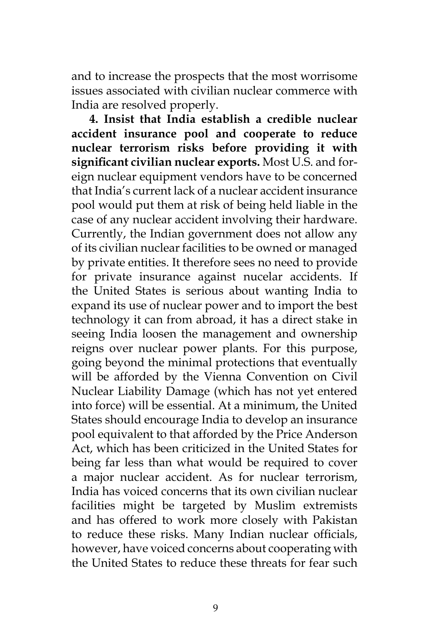and to increase the prospects that the most worrisome issues associated with civilian nuclear commerce with India are resolved properly.

**4. Insist that India establish a credible nuclear accident insurance pool and cooperate to reduce nuclear terrorism risks before providing it with significant civilian nuclear exports.** Most U.S. and foreign nuclear equipment vendors have to be concerned that India's current lack of a nuclear accident insurance pool would put them at risk of being held liable in the case of any nuclear accident involving their hardware. Currently, the Indian government does not allow any of its civilian nuclear facilities to be owned or managed by private entities. It therefore sees no need to provide for private insurance against nucelar accidents. If the United States is serious about wanting India to expand its use of nuclear power and to import the best technology it can from abroad, it has a direct stake in seeing India loosen the management and ownership reigns over nuclear power plants. For this purpose, going beyond the minimal protections that eventually will be afforded by the Vienna Convention on Civil Nuclear Liability Damage (which has not yet entered into force) will be essential. At a minimum, the United States should encourage India to develop an insurance pool equivalent to that afforded by the Price Anderson Act, which has been criticized in the United States for being far less than what would be required to cover a major nuclear accident. As for nuclear terrorism, India has voiced concerns that its own civilian nuclear facilities might be targeted by Muslim extremists and has offered to work more closely with Pakistan to reduce these risks. Many Indian nuclear officials, however, have voiced concerns about cooperating with the United States to reduce these threats for fear such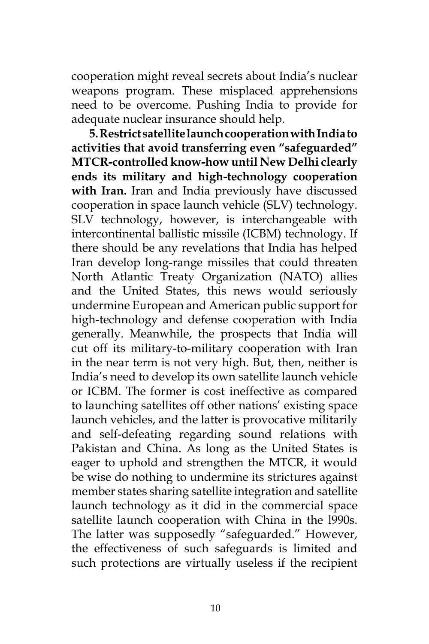cooperation might reveal secrets about India's nuclear weapons program. These misplaced apprehensions need to be overcome. Pushing India to provide for adequate nuclear insurance should help.

**5.Restrict satellite launch cooperation with India to activities that avoid transferring even "safeguarded" MTCR-controlled know-how until New Delhi clearly ends its military and high-technology cooperation with Iran.** Iran and India previously have discussed cooperation in space launch vehicle (SLV) technology. SLV technology, however, is interchangeable with intercontinental ballistic missile (ICBM) technology. If there should be any revelations that India has helped Iran develop long-range missiles that could threaten North Atlantic Treaty Organization (NATO) allies and the United States, this news would seriously undermine European and American public support for high-technology and defense cooperation with India generally. Meanwhile, the prospects that India will cut off its military-to-military cooperation with Iran in the near term is not very high. But, then, neither is India's need to develop its own satellite launch vehicle or ICBM. The former is cost ineffective as compared to launching satellites off other nations' existing space launch vehicles, and the latter is provocative militarily and self-defeating regarding sound relations with Pakistan and China. As long as the United States is eager to uphold and strengthen the MTCR, it would be wise do nothing to undermine its strictures against member states sharing satellite integration and satellite launch technology as it did in the commercial space satellite launch cooperation with China in the l990s. The latter was supposedly "safeguarded." However, the effectiveness of such safeguards is limited and such protections are virtually useless if the recipient